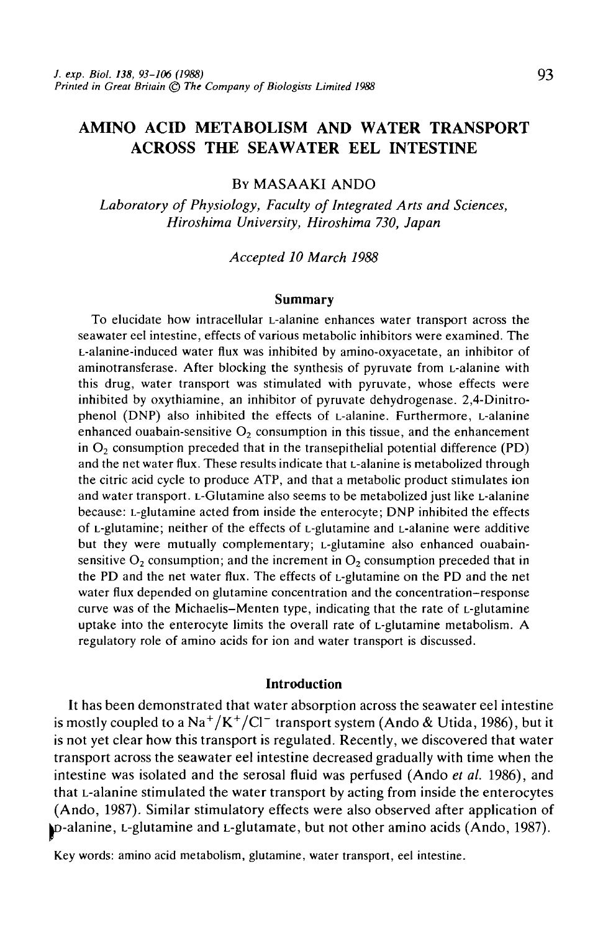# AMINO ACID METABOLISM AND WATER TRANSPORT ACROSS THE SEAWATER EEL INTESTINE

# **BY MASAAKI ANDO**

*Laboratory of Physiology, Faculty of Integrated Arts and Sciences, Hiroshima University, Hiroshima 730, Japan*

*Accepted 10 March 1988*

#### **Summary**

To elucidate how intracellular L-alanine enhances water transport across the seawater eel intestine, effects of various metabolic inhibitors were examined. The L-alanine-induced water flux was inhibited by amino-oxyacetate, an inhibitor of aminotransferase. After blocking the synthesis of pyruvate from L-alanine with this drug, water transport was stimulated with pyruvate, whose effects were inhibited by oxythiamine, an inhibitor of pyruvate dehydrogenase. 2,4-Dinitrophenol (DNP) also inhibited the effects of L-alanine. Furthermore, L-alanine enhanced ouabain-sensitive  $O_2$  consumption in this tissue, and the enhancement in  $O<sub>2</sub>$  consumption preceded that in the transepithelial potential difference (PD) and the net water flux. These results indicate that L-alanine is metabolized through the citric acid cycle to produce ATP, and that a metabolic product stimulates ion and water transport. L-Glutamine also seems to be metabolized just like L-alanine because: L-glutamine acted from inside the enterocyte; DNP inhibited the effects of L-glutamine; neither of the effects of L-glutamine and L-alanine were additive but they were mutually complementary; L-glutamine also enhanced ouabainsensitive  $O_2$  consumption; and the increment in  $O_2$  consumption preceded that in the PD and the net water flux. The effects of L-glutamine on the PD and the net water flux depended on glutamine concentration and the concentration-response curve was of the Michaelis-Menten type, indicating that the rate of L-glutamine uptake into the enterocyte limits the overall rate of L-glutamine metabolism. A regulatory role of amino acids for ion and water transport is discussed.

#### **Introduction**

It has been demonstrated that water absorption across the seawater eel intestine is mostly coupled to a Na<sup>+</sup>/K<sup>+</sup>/Cl<sup>-</sup> transport system (Ando & Utida, 1986), but it is not yet clear how this transport is regulated. Recently, we discovered that water transport across the seawater eel intestine decreased gradually with time when the intestine was isolated and the serosal fluid was perfused (Ando *et al.* 1986), and that L-alanine stimulated the water transport by acting from inside the enterocytes (Ando, 1987). Similar stimulatory effects were also observed after application of |D-alanine, L-glutamine and L-glutamate, but not other amino acids (Ando, 1987).

Key words: amino acid metabolism, glutamine, water transport, eel intestine.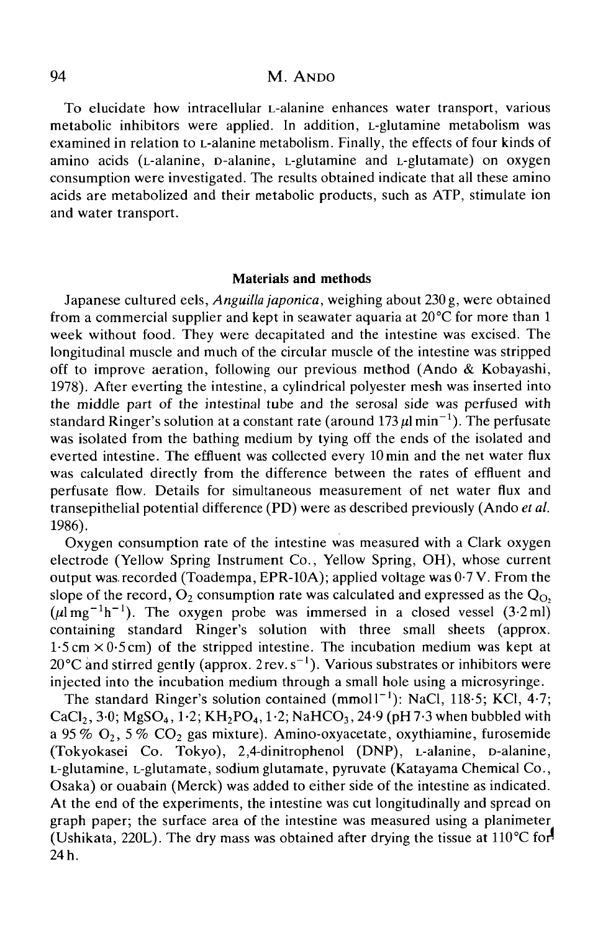# 94 M. ANDO

To elucidate how intracellular L-alanine enhances water transport, various metabolic inhibitors were applied. In addition, L-glutamine metabolism was examined in relation to L-alanine metabolism. Finally, the effects of four kinds of amino acids (L-alanine, D-alanine, L-glutamine and L-glutamate) on oxygen consumption were investigated. The results obtained indicate that all these amino acids are metabolized and their metabolic products, such as ATP, stimulate ion and water transport.

#### **Materials and methods**

Japanese cultured eels, *Anguilla japonica,* weighing about 230 g, were obtained from a commercial supplier and kept in seawater aquaria at 20°C for more than 1 week without food. They were decapitated and the intestine was excised. The longitudinal muscle and much of the circular muscle of the intestine was stripped off to improve aeration, following our previous method (Ando & Kobayashi, 1978). After everting the intestine, a cylindrical polyester mesh was inserted into the middle part of the intestinal tube and the serosal side was perfused with standard Ringer's solution at a constant rate (around 173  $\mu$ l min<sup>-1</sup>). The perfusate was isolated from the bathing medium by tying off the ends of the isolated and everted intestine. The effluent was collected every lOmin and the net water flux was calculated directly from the difference between the rates of effluent and perfusate flow. Details for simultaneous measurement of net water flux and transepithelial potential difference (PD) were as described previously (Ando *et al.* 1986).

Oxygen consumption rate of the intestine was measured with a Clark oxygen electrode (Yellow Spring Instrument Co., Yellow Spring, OH), whose current output was. recorded (Toadempa, EPR-10A); applied voltage was 0-7 V. From the slope of the record,  $O_2$  consumption rate was calculated and expressed as the  $Q_0$ ,  $(\mu \text{Im} \, \text{g}^{-1} \text{h}^{-1})$ . The oxygen probe was immersed in a closed vessel (3.2 ml) containing standard Ringer's solution with three small sheets (approx.  $1.5 \text{ cm} \times 0.5 \text{ cm}$ ) of the stripped intestine. The incubation medium was kept at 20 °C and stirred gently (approx.  $2 \text{rev. s}^{-1}$ ). Various substrates or inhibitors were injected into the incubation medium through a small hole using a microsyringe.

The standard Ringer's solution contained (mmol1<sup>-1</sup>): NaCl, 118.5; KCl, 4.7; CaCl<sub>2</sub>, 3.0; MgSO<sub>4</sub>, 1.2; KH<sub>2</sub>PO<sub>4</sub>, 1.2; NaHCO<sub>3</sub>, 24.9 (pH 7.3 when bubbled with a 95 % O<sub>2</sub>, 5 % CO<sub>2</sub> gas mixture). Amino-oxyacetate, oxythiamine, furosemide (Tokyokasei Co. Tokyo), 2,4-dinitrophenol (DNP), L-alanine, D-alanine, L-glutamine, L-glutamate, sodium glutamate, pyruvate (Katayama Chemical Co., Osaka) or ouabain (Merck) was added to either side of the intestine as indicated. At the end of the experiments, the intestine was cut longitudinally and spread on graph paper; the surface area of the intestine was measured using a planimeter (Ushikata, 220L). The dry mass was obtained after drying the tissue at  $110^{\circ}$ C for 24 h.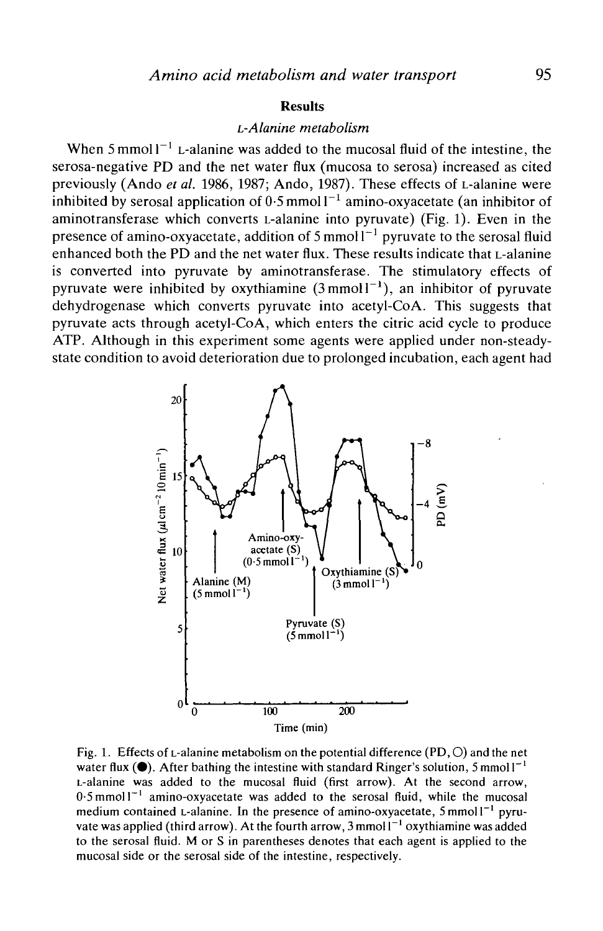## **Results**

## *L-Alanine metabolism*

When  $5 \text{ mmol} 1^{-1}$  L-alanine was added to the mucosal fluid of the intestine, the serosa-negative PD and the net water flux (mucosa to serosa) increased as cited previously (Ando *et al.* 1986, 1987; Ando, 1987). These effects of L-alanine were inhibited by serosal application of  $0.5$  mmol  $1^{-1}$  amino-oxyacetate (an inhibitor of aminotransferase which converts L-alanine into pyruvate) (Fig. 1). Even in the presence of amino-oxyacetate, addition of 5 mmol  $1^{-1}$  pyruvate to the serosal fluid enhanced both the PD and the net water flux. These results indicate that L-alanine is converted into pyruvate by aminotransferase. The stimulatory effects of pyruvate were inhibited by oxythiamine  $(3 \text{ mmol1}^{-1})$ , an inhibitor of pyruvate dehydrogenase which converts pyruvate into acetyl-CoA. This suggests that pyruvate acts through acetyl-CoA, which enters the citric acid cycle to produce ATP. Although in this experiment some agents were applied under non-steadystate condition to avoid deterioration due to prolonged incubation, each agent had



Fig. 1. Effects of L-alanine metabolism on the potential difference (PD,  $\circ$ ) and the net water flux ( $\bullet$ ). After bathing the intestine with standard Ringer's solution, 5 mmol  $I^{-1}$ L-alanine was added to the mucosal fluid (first arrow). At the second arrow,  $0.5$  mmol  $1<sup>-1</sup>$  amino-oxyacetate was added to the serosal fluid, while the mucosal medium contained L-alanine. In the presence of amino-oxyacetate, 5 mmol l<sup>-1</sup> pyruvate was applied (third arrow). At the fourth arrow, 3 mmol  $I^{-1}$  oxythiamine was added to the serosal fluid. M or S in parentheses denotes that each agent is applied to the mucosal side or the serosal side of the intestine, respectively.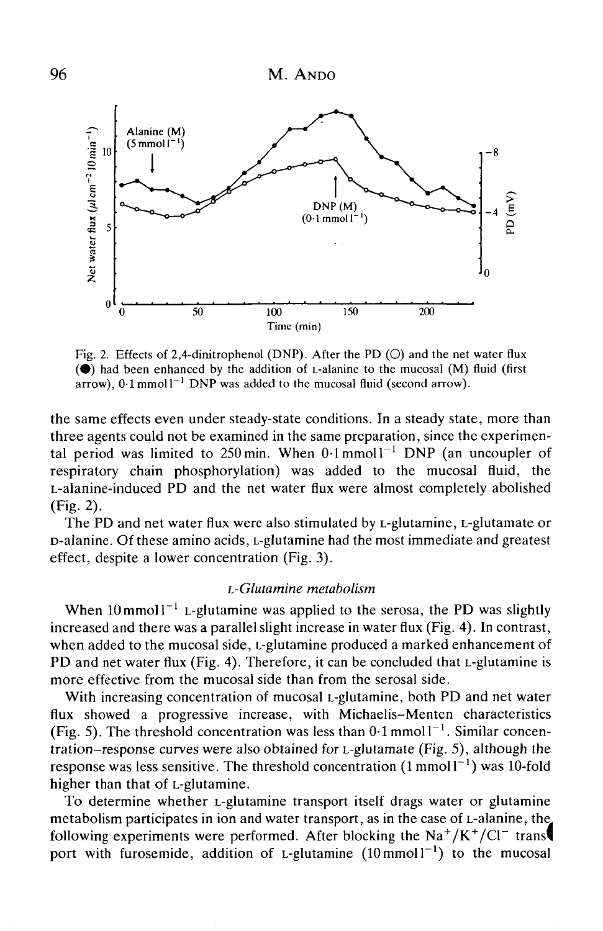

Fig. 2. Effects of 2,4-dinitrophenol (DNP). After the PD ( $\circ$ ) and the net water flux  $\odot$  had been enhanced by the addition of L-alanine to the mucosal  $(M)$  fluid (first  $arrow$ ),  $0.1$  mmoll<sup>-1</sup> DNP was added to the mucosal fluid (second arrow).

the same effects even under steady-state conditions. In a steady state, more than three agents could not be examined in the same preparation, since the experimental period was limited to 250 min. When  $0.1$  mmoll<sup>-1</sup> DNP (an uncoupler of respiratory chain phosphorylation) was added to the mucosal fluid, the L-alanine-induced PD and the net water flux were almost completely abolished  $(Fig. 2)$ .

The PD and net water flux were also stimulated by L-glutamine, L-glutamate or D-alanine. Of these amino acids, L-glutamine had the most immediate and greatest effect, despite a lower concentration (Fig. 3).

# *L-Glutamine metabolism*

When  $10$  mmol  $l^{-1}$  L-glutamine was applied to the serosa, the PD was slightly increased and there was a parallel slight increase in water flux (Fig. 4). In contrast, when added to the mucosal side, L-glutamine produced a marked enhancement of PD and net water flux (Fig. 4). Therefore, it can be concluded that L-glutamine is more effective from the mucosal side than from the serosal side.

With increasing concentration of mucosal *L*-glutamine, both PD and net water flux showed a progressive increase, with Michaelis-Menten characteristics (Fig. 5). The threshold concentration was less than  $0.1$  mmol  $1^{-1}$ . Similar concentration-response curves were also obtained for L-glutamate (Fig. 5), although the response was less sensitive. The threshold concentration  $(1 \text{ mmol1}^{-1})$  was 10-fold higher than that of L-glutamine.

To determine whether L-glutamine transport itself drags water or glutamine metabolism participates in ion and water transport, as in the case of L-alanine, the^ following experiments were performed. After blocking the  $Na^+/K^+/Cl^-$  trans port with furosemide, addition of L-glutamine  $(10 \text{ mmol l}^{-1})$  to the mucosal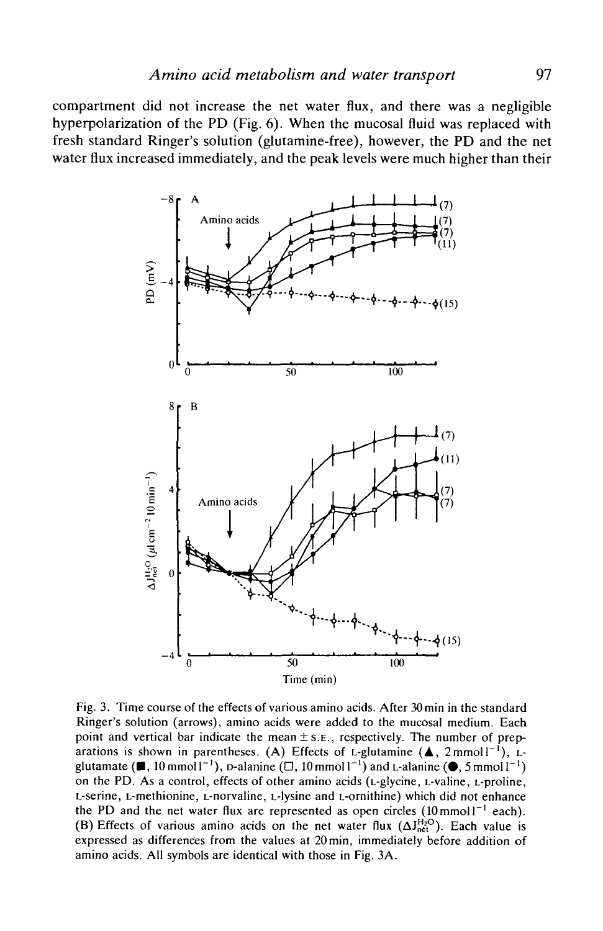compartment did not increase the net water flux, and there was a negligible hyperpolarization of the PD (Fig. 6). When the mucosal fluid was replaced with fresh standard Ringer's solution (glutamine-free), however, the PD and the net water flux increased immediately, and the peak levels were much higher than their



Fig. 3. Time course of the effects of various amino acids. After 30 min in the standard Ringer's solution (arrows), amino acids were added to the mucosal medium. Each point and vertical bar indicate the mean  $\pm$  s. E., respectively. The number of preparations is shown in parentheses. (A) Effects of L-glutamine ( $\blacktriangle$ , 2mmoll<sup>-1</sup>), Lglutamate ( $\blacksquare$ , 10 mmoll<sup>-1</sup>), p-alanine ( $\square$ , 10 mmoll<sup>-1</sup>) and L-alanine ( $\spadesuit$ , 5 mmoll<sup>-1</sup>) on the PD. As a control, effects of other amino acids (L-glycine, L-valine, L-proline, L-serine, L-methionine, L-norvaline, L-lysine and L-ornithine) which did not enhance the PD and the net water flux are represented as open circles  $(10 \text{ mmol})^{-1}$  each). (B) Effects of various amino acids on the net water flux  $(\Delta J_{net}^{H_2O})$ . Each value is expressed as differences from the values at 20 min, immediately before addition of amino acids. All symbols are identical with those in Fig. 3A.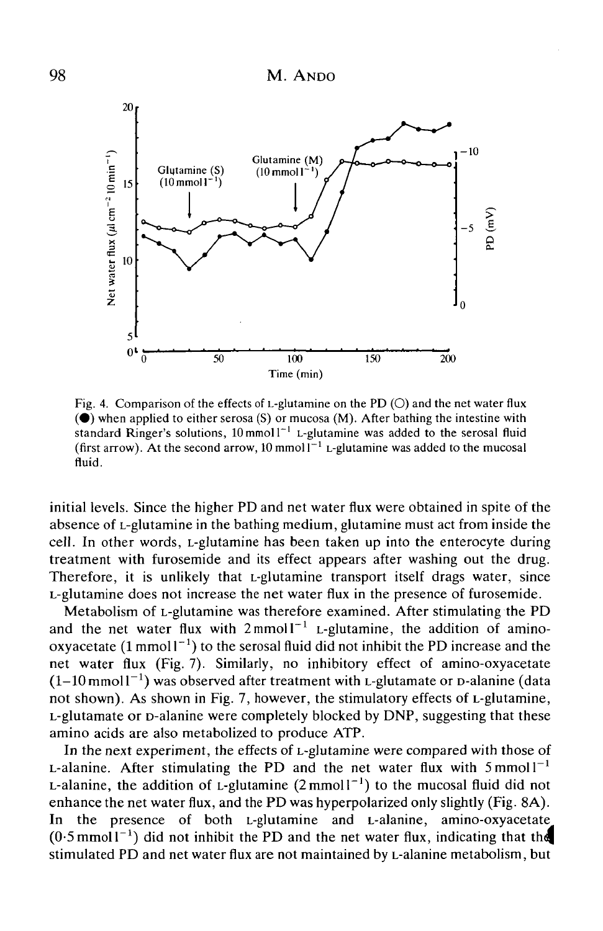

Fig. 4. Comparison of the effects of L-glutamine on the PD  $(O)$  and the net water flux  $(•)$  when applied to either serosa (S) or mucosa (M). After bathing the intestine with standard Ringer's solutions,  $10 \text{ mmol}1^{-1}$  L-glutamine was added to the serosal fluid (first arrow). At the second arrow, 10 mmol  $I^{-1}$  L-glutamine was added to the mucosal fluid.

initial levels. Since the higher PD and net water flux were obtained in spite of the absence of L-glutamine in the bathing medium, glutamine must act from inside the cell. In other words, L-glutamine has been taken up into the enterocyte during treatment with furosemide and its effect appears after washing out the drug. Therefore, it is unlikely that L-glutamine transport itself drags water, since L-glutamine does not increase the net water flux in the presence of furosemide.

Metabolism of L-glutamine was therefore examined. After stimulating the PD and the net water flux with  $2 \text{mmol}^{-1}$  L-glutamine, the addition of aminooxyacetate  $(1 \text{ mmol} 1^{-1})$  to the serosal fluid did not inhibit the PD increase and the net water flux (Fig. 7). Similarly, no inhibitory effect of amino-oxyacetate  $(1-10 \text{ mmol1}^{-1})$  was observed after treatment with L-glutamate or D-alanine (data not shown). As shown in Fig. 7, however, the stimulatory effects of L-glutamine, L-glutamate or D-alanine were completely blocked by DNP, suggesting that these amino acids are also metabolized to produce ATP.

In the next experiment, the effects of L-glutamine were compared with those of L-alanine. After stimulating the PD and the net water flux with  $5 \text{ mmol } l^{-1}$ L-alanine, the addition of L-glutamine  $(2 \text{ mmol } l^{-1})$  to the mucosal fluid did not enhance the net water flux, and the PD was hyperpolarized only slightly (Fig. 8A). In the presence of both L-glutamine and L-alanine, amino-oxyacetate  $(0.5 \text{ mmol1}^{-1})$  did not inhibit the PD and the net water flux, indicating that the stimulated PD and net water flux are not maintained by L-alanine metabolism, but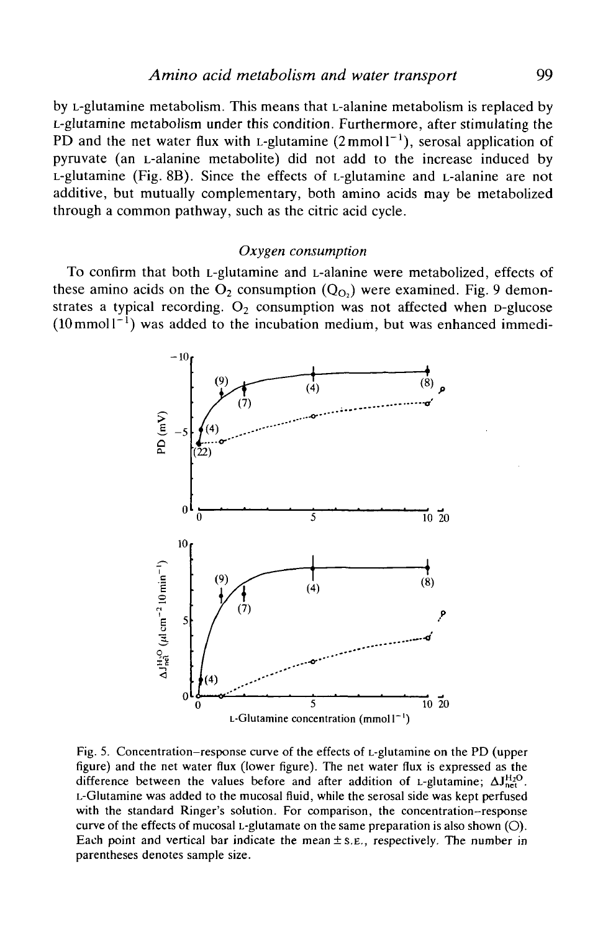by L-glutamine metabolism. This means that L-alanine metabolism is replaced by L-glutamine metabolism under this condition. Furthermore, after stimulating the PD and the net water flux with *L*-glutamine  $(2 \text{mmol } 1^{-1})$ , serosal application of pyruvate (an L-alanine metabolite) did not add to the increase induced by L-glutamine (Fig. 8B). Since the effects of L-glutamine and L-alanine are not additive, but mutually complementary, both amino acids may be metabolized through a common pathway, such as the citric acid cycle.

#### *Oxygen consumption*

To confirm that both L-glutamine and L-alanine were metabolized, effects of these amino acids on the  $O_2$  consumption  $(Q<sub>O</sub>)$  were examined. Fig. 9 demonstrates a typical recording.  $O_2$  consumption was not affected when p-glucose  $(10 \text{ mmol1}^{-1})$  was added to the incubation medium, but was enhanced immedi-



Fig. 5. Concentration-response curve of the effects of L-glutamine on the PD (upper figure) and the net water flux (lower figure). The net water flux is expressed as the difference between the values before and after addition of L-glutamine;  $\Delta J_{net}^{H_2O}$ . L-Glutamine was added to the mucosal fluid, while the serosal side was kept perfused with the standard Ringer's solution. For comparison, the concentration-response curve of the effects of mucosal L-glutamate on the same preparation is also shown  $(O)$ . Each point and vertical bar indicate the mean  $\pm$  s.e., respectively. The number in parentheses denotes sample size.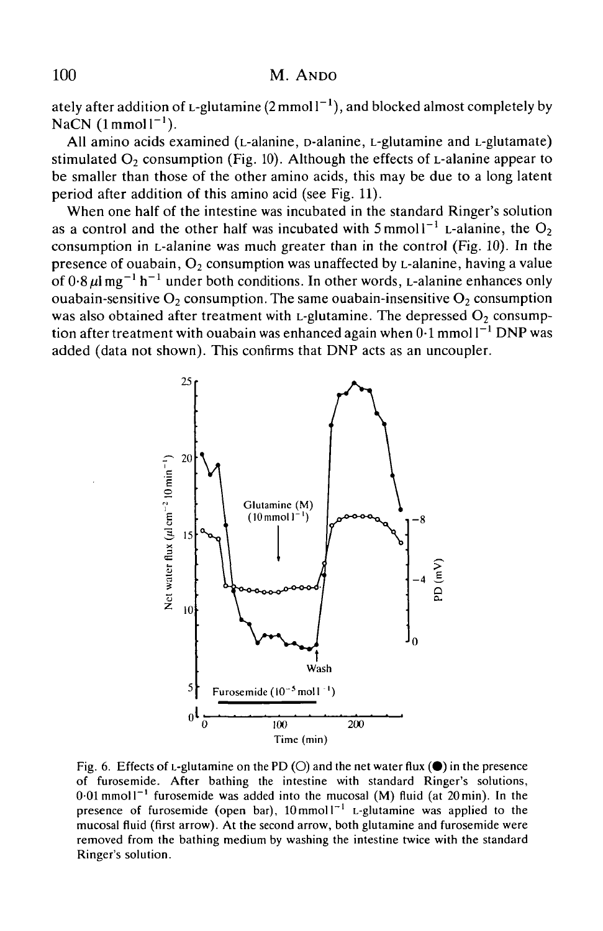ately after addition of L-glutamine  $(2 \text{mmol } l^{-1})$ , and blocked almost completely by NaCN  $(1$ mmol $1^{-1}$ ).

All amino acids examined (L-alanine, D-alanine, L-glutamine and L-glutamate) stimulated  $O_2$  consumption (Fig. 10). Although the effects of L-alanine appear to be smaller than those of the other amino acids, this may be due to a long latent period after addition of this amino acid (see Fig. 11).

When one half of the intestine was incubated in the standard Ringer's solution as a control and the other half was incubated with  $5 \text{ mmol}1^{-1}$  L-alanine, the  $O_2$ consumption in L-alanine was much greater than in the control (Fig. 10). In the presence of ouabain,  $O_2$  consumption was unaffected by L-alanine, having a value of  $0.8 \,\mu$ l mg<sup>-1</sup> h<sup>-1</sup> under both conditions. In other words, L-alanine enhances only ouabain-sensitive  $O_2$  consumption. The same ouabain-insensitive  $O_2$  consumption was also obtained after treatment with L-glutamine. The depressed  $O_2$  consumption after treatment with ouabain was enhanced again when  $0\cdot1$  mmol l $^{-1}$  DNP was added (data not shown). This confirms that DNP acts as an uncoupler.



Fig. 6. Effects of L-glutamine on the PD (O) and the net water flux  $(\bullet)$  in the presence of furosemide. After bathing the intestine with standard Ringer's solutions,  $0.01$  mmol  $1^{-1}$  furosemide was added into the mucosal (M) fluid (at 20 min). In the presence of furosemide (open bar),  $10 \text{ mmol}^{-1}$  L-glutamine was applied to the mucosal fluid (first arrow). At the second arrow, both glutamine and furosemide were removed from the bathing medium by washing the intestine twice with the standard Ringer's solution.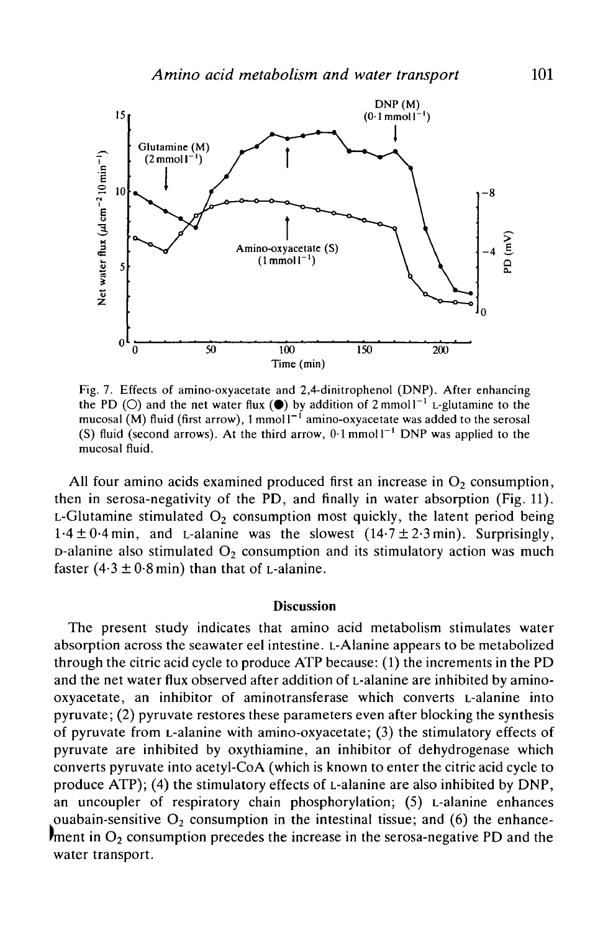

Fig. 7. Effects of amino-oxyacetate and 2,4-dinitrophenol (DNP). After enhancing the PD (O) and the net water flux ( $\bullet$ ) by addition of 2 mmoll<sup>-1</sup> L-glutamine to the mucosal  $(M)$  fluid (first arrow), 1 mmol  $I^{-1}$  amino-oxyacetate was added to the serosal (S) fluid (second arrows). At the third arrow,  $0.1$  mmol  $1^{-1}$  DNP was applied to the mucosal fluid.

All four amino acids examined produced first an increase in  $O_2$  consumption, then in serosa-negativity of the PD, and finally in water absorption (Fig. 11). L-Glutamine stimulated  $O<sub>2</sub>$  consumption most quickly, the latent period being  $1.4 \pm 0.4$  min, and L-alanine was the slowest  $(14.7 \pm 2.3 \text{ min})$ . Surprisingly,  $D$ -alanine also stimulated  $O<sub>2</sub>$  consumption and its stimulatory action was much faster  $(4.3 \pm 0.8 \text{ min})$  than that of L-alanine.

## **Discussion**

The present study indicates that amino acid metabolism stimulates water absorption across the seawater eel intestine. L-Alanine appears to be metabolized through the citric acid cycle to produce ATP because: (1) the increments in the PD and the net water flux observed after addition of L-alanine are inhibited by aminooxyacetate, an inhibitor of aminotransferase which converts L-alanine into pyruvate; (2) pyruvate restores these parameters even after blocking the synthesis of pyruvate from L-alanine with amino-oxyacetate; (3) the stimulatory effects of pyruvate are inhibited by oxythiamine, an inhibitor of dehydrogenase which converts pyruvate into acetyl-CoA (which is known to enter the citric acid cycle to produce ATP); (4) the stimulatory effects of L-alanine are also inhibited by DNP, an uncoupler of respiratory chain phosphorylation; (5) L-alanine enhances ouabain-sensitive  $O_2$  consumption in the intestinal tissue; and (6) the enhance $r_{\rm ment}$  in O<sub>2</sub> consumption precedes the increase in the serosa-negative PD and the water transport.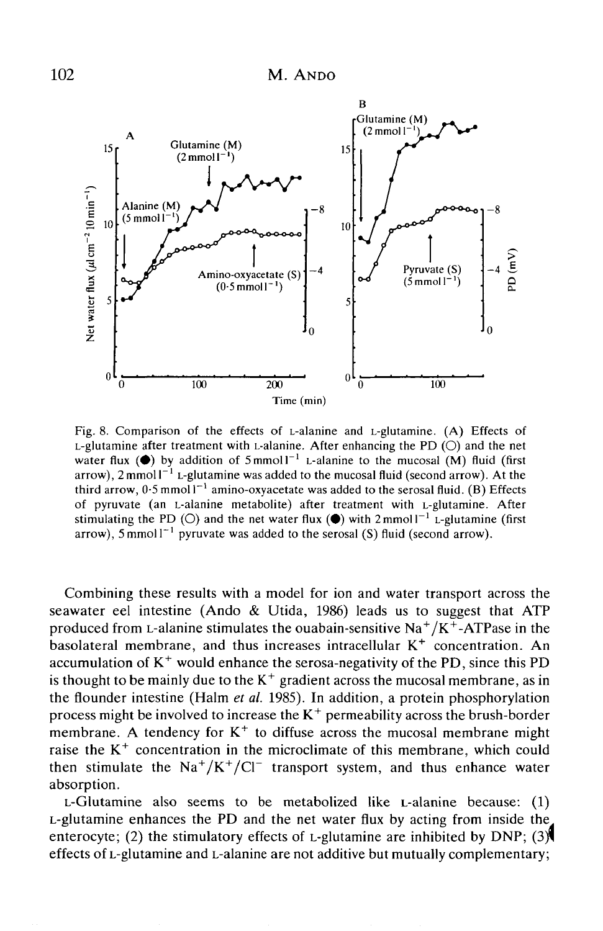

Fig. 8. Comparison of the effects of L-alanine and L-glutamine. (A) Effects of L-glutamine after treatment with L-alanine. After enhancing the PD  $(O)$  and the net water flux ( $\bullet$ ) by addition of 5 mmol  $1^{-1}$  L-alanine to the mucosal  $(M)$  fluid (first arrow), 2 mmol  $I^{-1}$  L-glutamine was added to the mucosal fluid (second arrow). At the third arrow,  $0.5$  mmol  $I^{-1}$  amino-oxyacetate was added to the serosal fluid. (B) Effects of pyruvate (an L-alanine metabolite) after treatment with L-glutamine. After stimulating the PD (O) and the net water flux ( $\bullet$ ) with 2 mmol  $1^{-1}$  L-glutamine (first arrow), 5 mmol  $1^{-1}$  pyruvate was added to the serosal (S) fluid (second arrow).

Combining these results with a model for ion and water transport across the seawater eel intestine (Ando & Utida, 1986) leads us to suggest that ATP produced from L-alanine stimulates the ouabain-sensitive Na<sup>+</sup>/K<sup>+</sup>-ATPase in the basolateral membrane, and thus increases intracellular  $K^+$  concentration. An accumulation of  $K^+$  would enhance the serosa-negativity of the PD, since this PD is thought to be mainly due to the  $K^+$  gradient across the mucosal membrane, as in the flounder intestine (Halm *et al.* 1985). In addition, a protein phosphorylation process might be involved to increase the  $K^+$  permeability across the brush-border membrane. A tendency for  $K^+$  to diffuse across the mucosal membrane might raise the  $K^+$  concentration in the microclimate of this membrane, which could then stimulate the  $Na^{+}/K^{+}/Cl^{-}$  transport system, and thus enhance water absorption.

L-Glutamine also seems to be metabolized like L-alanine because: (1) L-glutamine enhances the PD and the net water flux by acting from inside the enterocyte; (2) the stimulatory effects of L-glutamine are inhibited by DNP; (3) effects of L-glutamine and L-alanine are not additive but mutually complementary;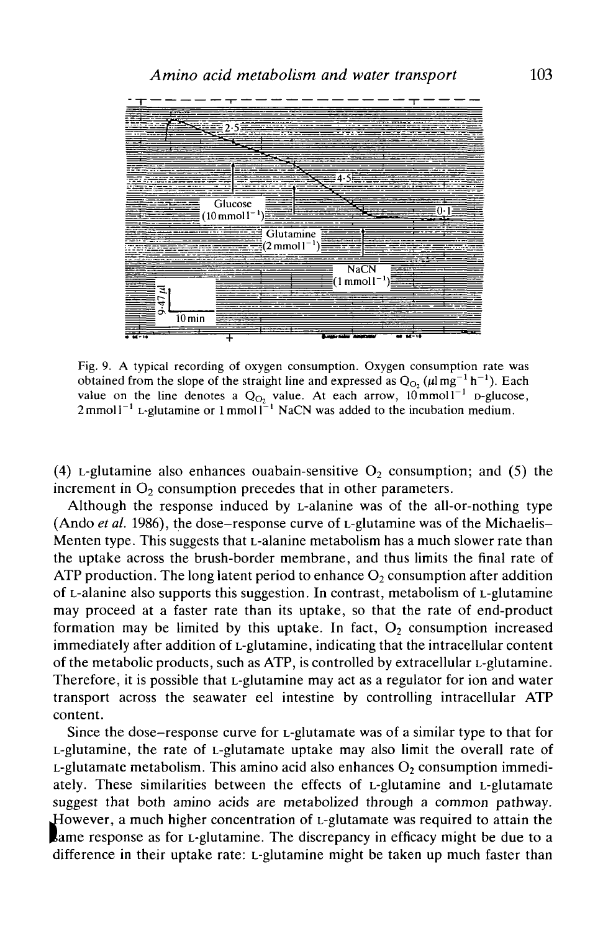

Fig. 9. A typical recording of oxygen consumption. Oxygen consumption rate was obtained from the slope of the straight line and expressed as  $Q_{O_2}(\mu \text{Im} g^{-1} h^{-1})$ . Each value on the line denotes a  $Q_{Q_2}$  value. At each arrow,  $10 \text{ mmol}^{-1}$  p-glucose,  $2 \text{ mmol } 1^{-1}$  L-glutamine or  $1 \text{ mmol } 1^{-1}$  NaCN was added to the incubation medium.

(4) L-glutamine also enhances ouabain-sensitive  $O_2$  consumption; and (5) the increment in  $O<sub>2</sub>$  consumption precedes that in other parameters.

Although the response induced by L-alanine was of the all-or-nothing type (Ando *et al.* 1986), the dose-response curve of L-glutamine was of the Michaelis-Menten type. This suggests that L-alanine metabolism has a much slower rate than the uptake across the brush-border membrane, and thus limits the final rate of ATP production. The long latent period to enhance  $O_2$  consumption after addition of L-alanine also supports this suggestion. In contrast, metabolism of L-glutamine may proceed at a faster rate than its uptake, so that the rate of end-product formation may be limited by this uptake. In fact,  $O<sub>2</sub>$  consumption increased immediately after addition of L-glutamine, indicating that the intracellular content of the metabolic products, such as ATP, is controlled by extracellular L-glutamine. Therefore, it is possible that L-glutamine may act as a regulator for ion and water transport across the seawater eel intestine by controlling intracellular ATP content.

Since the dose-response curve for L-glutamate was of a similar type to that for L-glutamine, the rate of L-glutamate uptake may also limit the overall rate of L-glutamate metabolism. This amino acid also enhances  $O_2$  consumption immediately. These similarities between the effects of L-glutamine and L-glutamate suggest that both amino acids are metabolized through a common pathway. However, a much higher concentration of L-glutamate was required to attain the lame response as for L-glutamine. The discrepancy in efficacy might be due to a difference in their uptake rate: L-glutamine might be taken up much faster than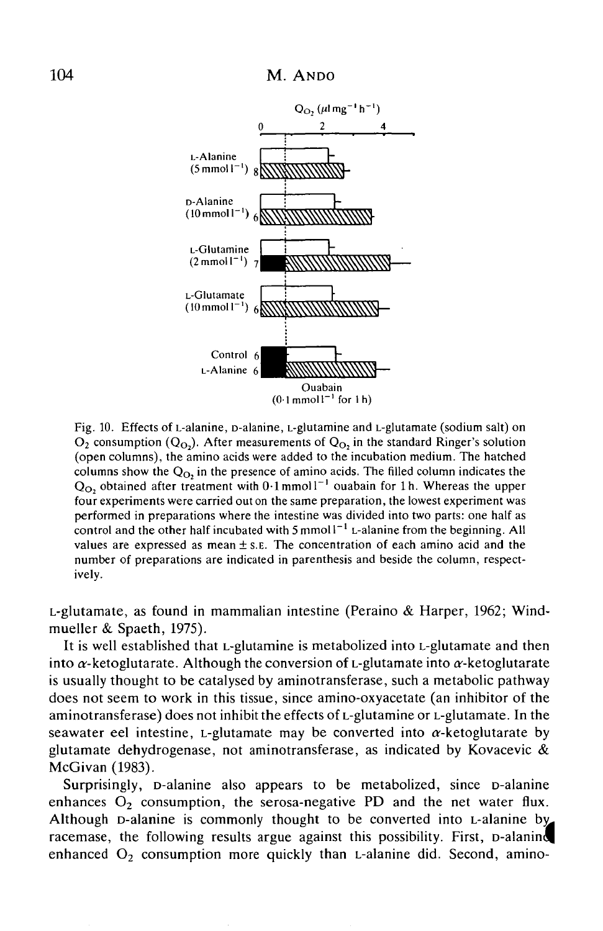



Fig. 10. Effects of L-alanine, D-alanine, L-glutamine and L-glutamate (sodium salt) on  $O_2$  consumption  $(Q<sub>O</sub>)$ . After measurements of  $Q<sub>O</sub>$ , in the standard Ringer's solution (open columns), the amino acids were added to the incubation medium. The hatched columns show the  $Q<sub>O</sub>$ , in the presence of amino acids. The filled column indicates the  $Q_{\text{O}}$ , obtained after treatment with 0.1 mmol1<sup>-1</sup> ouabain for 1h. Whereas the upper four experiments were carried out on the same preparation, the lowest experiment was performed in preparations where the intestine was divided into two parts: one half as control and the other half incubated with 5 mmol  $1^{-1}$  L-alanine from the beginning. All values are expressed as mean  $\pm$  s.e. The concentration of each amino acid and the number of preparations are indicated in parenthesis and beside the column, respectively.

L-glutamate, as found in mammalian intestine (Peraino & Harper, 1962; Windmueller & Spaeth, 1975).

It is well established that L-glutamine is metabolized into L-glutamate and then into  $\alpha$ -ketoglutarate. Although the conversion of L-glutamate into  $\alpha$ -ketoglutarate is usually thought to be catalysed by aminotransferase, such a metabolic pathway does not seem to work in this tissue, since amino-oxyacetate (an inhibitor of the aminotransferase) does not inhibit the effects of L-glutamine or L-glutamate. In the seawater eel intestine, L-glutamate may be converted into  $\alpha$ -ketoglutarate by glutamate dehydrogenase, not aminotransferase, as indicated by Kovacevic  $\&$ McGivan (1983).

Surprisingly, D-alanine also appears to be metabolized, since D-alanine enhances  $O_2$  consumption, the serosa-negative PD and the net water flux. Although D-alanine is commonly thought to be converted into L-alanine by racemase, the following results argue against this possibility. First, p-alaning enhanced  $O_2$  consumption more quickly than L-alanine did. Second, amino-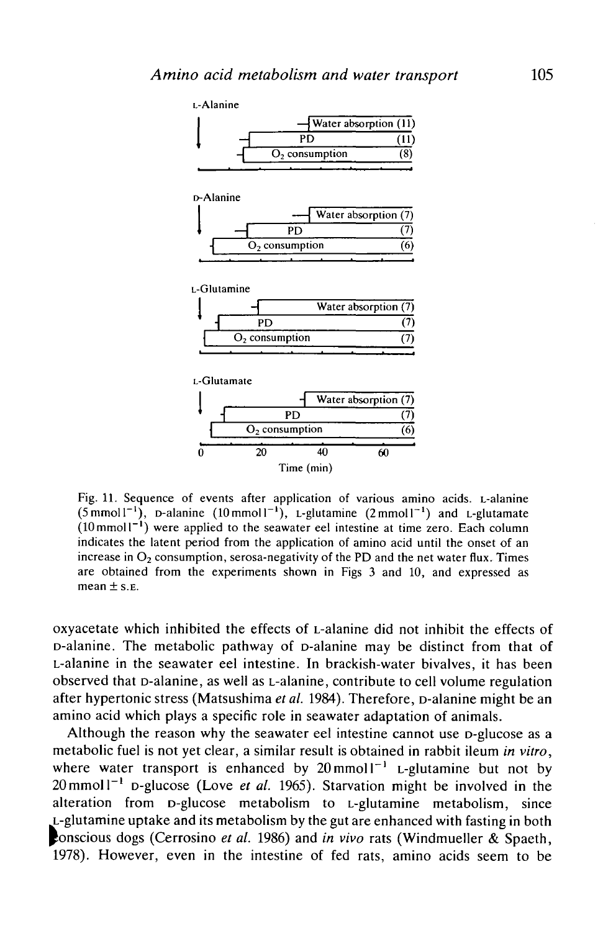

Fig. 11. Sequence of events after application of various amino acids. L-alanine  $(5 \text{mmol1}^{-1})$ , D-alanine  $(10 \text{mmol1}^{-1})$ , L-glutamine  $(2 \text{mmol1}^{-1})$  and L-glutamate  $(10 \text{ mmol1}^{-1})$  were applied to the seawater eel intestine at time zero. Each column indicates the latent period from the application of amino acid until the onset of an increase in  $O_2$  consumption, serosa-negativity of the PD and the net water flux. Times are obtained from the experiments shown in Figs 3 and 10, and expressed as mean  $\pm$  s.e.

oxyacetate which inhibited the effects of L-alanine did not inhibit the effects of D-alanine. The metabolic pathway of D-alanine may be distinct from that of L-alanine in the seawater eel intestine. In brackish-water bivalves, it has been observed that D-alanine, as well as L-alanine, contribute to cell volume regulation after hypertonic stress (Matsushima *et al.* 1984). Therefore, D-alanine might be an amino acid which plays a specific role in seawater adaptation of animals.

Although the reason why the seawater eel intestine cannot use p-glucose as a metabolic fuel is not yet clear, a similar result is obtained in rabbit ileum *in vitro,* where water transport is enhanced by  $20 \text{ mmol}^{-1}$  L-glutamine but not by  $20 \text{ mmol}^{-1}$  p-glucose (Love *et al.* 1965). Starvation might be involved in the alteration from D-glucose metabolism to L-glutamine metabolism, since L-glutamine uptake and its metabolism by the gut are enhanced with fasting in both **Conscious dogs (Cerrosino** et al. 1986) and in vivo rats (Windmueller & Spaeth, 1978). However, even in the intestine of fed rats, amino acids seem to be